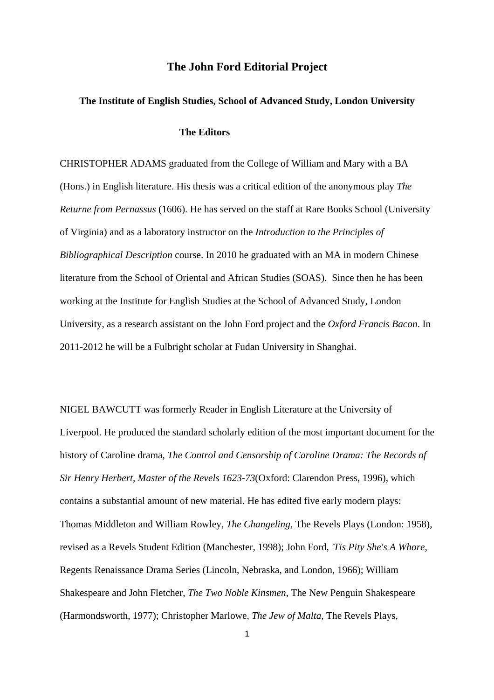## **The John Ford Editorial Project**

## **The Institute of English Studies, School of Advanced Study, London University**

## **The Editors**

CHRISTOPHER ADAMS graduated from the College of William and Mary with a BA (Hons.) in English literature. His thesis was a critical edition of the anonymous play *The Returne from Pernassus* (1606). He has served on the staff at Rare Books School (University of Virginia) and as a laboratory instructor on the *Introduction to the Principles of Bibliographical Description* course. In 2010 he graduated with an MA in modern Chinese literature from the School of Oriental and African Studies (SOAS). Since then he has been working at the Institute for English Studies at the School of Advanced Study, London University, as a research assistant on the John Ford project and the *Oxford Francis Bacon*. In 2011-2012 he will be a Fulbright scholar at Fudan University in Shanghai.

NIGEL BAWCUTT was formerly Reader in English Literature at the University of Liverpool. He produced the standard scholarly edition of the most important document for the history of Caroline drama, *The Control and Censorship of Caroline Drama: The Records of Sir Henry Herbert, Master of the Revels 1623-73*(Oxford: Clarendon Press, 1996), which contains a substantial amount of new material. He has edited five early modern plays: Thomas Middleton and William Rowley, *The Changeling,* The Revels Plays (London: 1958), revised as a Revels Student Edition (Manchester, 1998); John Ford, *'Tis Pity She's A Whore,* Regents Renaissance Drama Series (Lincoln, Nebraska, and London, 1966); William Shakespeare and John Fletcher, *The Two Noble Kinsmen*, The New Penguin Shakespeare (Harmondsworth, 1977); Christopher Marlowe, *The Jew of Malta,* The Revels Plays,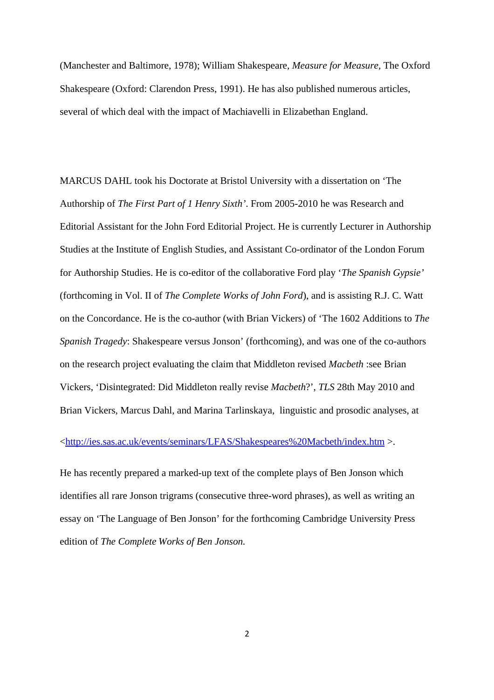(Manchester and Baltimore, 1978); William Shakespeare, *Measure for Measure,* The Oxford Shakespeare (Oxford: Clarendon Press, 1991). He has also published numerous articles, several of which deal with the impact of Machiavelli in Elizabethan England.

MARCUS DAHL took his Doctorate at Bristol University with a dissertation on 'The Authorship of *The First Part of 1 Henry Sixth'*. From 2005-2010 he was Research and Editorial Assistant for the John Ford Editorial Project. He is currently Lecturer in Authorship Studies at the Institute of English Studies, and Assistant Co-ordinator of the London Forum for Authorship Studies. He is co-editor of the collaborative Ford play '*The Spanish Gypsie'* (forthcoming in Vol. II of *The Complete Works of John Ford*), and is assisting R.J. C. Watt on the Concordance. He is the co-author (with Brian Vickers) of 'The 1602 Additions to *The Spanish Tragedy*: Shakespeare versus Jonson' (forthcoming), and was one of the co-authors on the research project evaluating the claim that Middleton revised *Macbeth* :see Brian Vickers, 'Disintegrated: Did Middleton really revise *Macbeth*?', *TLS* 28th May 2010 and Brian Vickers, Marcus Dahl, and Marina Tarlinskaya, linguistic and prosodic analyses, at

<http://ies.sas.ac.uk/events/seminars/LFAS/Shakespeares%20Macbeth/index.htm >.

He has recently prepared a marked-up text of the complete plays of Ben Jonson which identifies all rare Jonson trigrams (consecutive three-word phrases), as well as writing an essay on 'The Language of Ben Jonson' for the forthcoming Cambridge University Press edition of *The Complete Works of Ben Jonson.*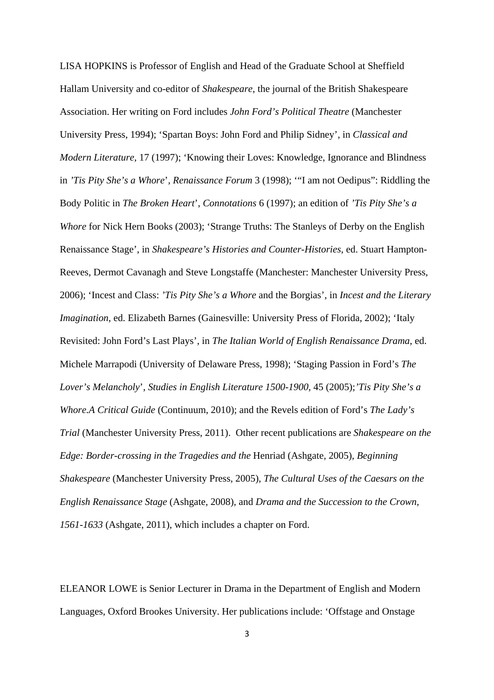LISA HOPKINS is Professor of English and Head of the Graduate School at Sheffield Hallam University and co-editor of *Shakespeare*, the journal of the British Shakespeare Association. Her writing on Ford includes *John Ford's Political Theatre* (Manchester University Press, 1994); 'Spartan Boys: John Ford and Philip Sidney', in *Classical and Modern Literature,* 17 (1997); 'Knowing their Loves: Knowledge, Ignorance and Blindness in *'Tis Pity She's a Whore*', *Renaissance Forum* 3 (1998); '"I am not Oedipus": Riddling the Body Politic in *The Broken Heart*', *Connotations* 6 (1997); an edition of *'Tis Pity She's a Whore* for Nick Hern Books (2003); 'Strange Truths: The Stanleys of Derby on the English Renaissance Stage', in *Shakespeare's Histories and Counter-Histories*, ed. Stuart Hampton-Reeves, Dermot Cavanagh and Steve Longstaffe (Manchester: Manchester University Press, 2006); 'Incest and Class: *'Tis Pity She's a Whore* and the Borgias', in *Incest and the Literary Imagination*, ed. Elizabeth Barnes (Gainesville: University Press of Florida, 2002); 'Italy Revisited: John Ford's Last Plays', in *The Italian World of English Renaissance Drama*, ed. Michele Marrapodi (University of Delaware Press, 1998); 'Staging Passion in Ford's *The Lover's Melancholy*', *Studies in English Literature 1500-1900*, 45 (2005);*'Tis Pity She's a Whore.A Critical Guide* (Continuum, 2010); and the Revels edition of Ford's *The Lady's Trial* (Manchester University Press, 2011). Other recent publications are *Shakespeare on the Edge: Border-crossing in the Tragedies and the* Henriad (Ashgate, 2005), *Beginning Shakespeare* (Manchester University Press, 2005), *The Cultural Uses of the Caesars on the English Renaissance Stage* (Ashgate, 2008), and *Drama and the Succession to the Crown, 1561-1633* (Ashgate, 2011), which includes a chapter on Ford.

ELEANOR LOWE is Senior Lecturer in Drama in the Department of English and Modern Languages, Oxford Brookes University. Her publications include: 'Offstage and Onstage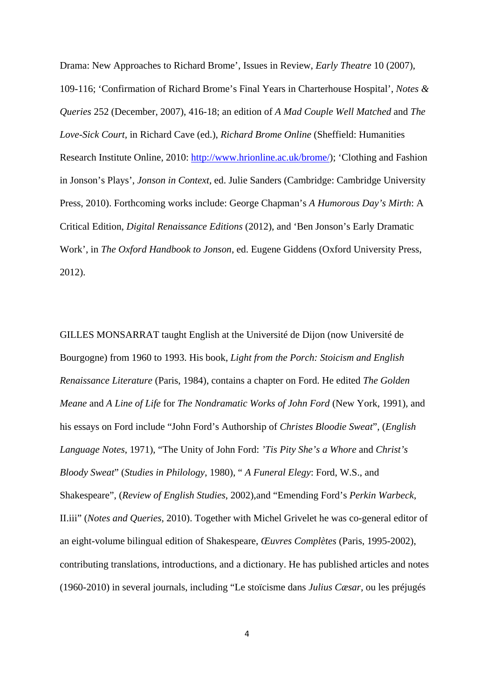Drama: New Approaches to Richard Brome', Issues in Review, *Early Theatre* 10 (2007), 109-116; 'Confirmation of Richard Brome's Final Years in Charterhouse Hospital', *Notes & Queries* 252 (December, 2007), 416-18; an edition of *A Mad Couple Well Matched* and *The Love-Sick Court,* in Richard Cave (ed.), *Richard Brome Online* (Sheffield: Humanities Research Institute Online, 2010: http://www.hrionline.ac.uk/brome/); 'Clothing and Fashion in Jonson's Plays', *Jonson in Context*, ed. Julie Sanders (Cambridge: Cambridge University Press, 2010). Forthcoming works include: George Chapman's *A Humorous Day's Mirth*: A Critical Edition, *Digital Renaissance Editions* (2012), and 'Ben Jonson's Early Dramatic Work', in *The Oxford Handbook to Jonson*, ed. Eugene Giddens (Oxford University Press, 2012).

GILLES MONSARRAT taught English at the Université de Dijon (now Université de Bourgogne) from 1960 to 1993. His book, *Light from the Porch: Stoicism and English Renaissance Literature* (Paris, 1984), contains a chapter on Ford. He edited *The Golden Meane* and *A Line of Life* for *The Nondramatic Works of John Ford* (New York, 1991), and his essays on Ford include "John Ford's Authorship of *Christes Bloodie Sweat*", (*English Language Notes*, 1971), "The Unity of John Ford: *'Tis Pity She's a Whore* and *Christ's Bloody Sweat*" (*Studies in Philology*, 1980), " *A Funeral Elegy*: Ford, W.S., and Shakespeare", (*Review of English Studies*, 2002),and "Emending Ford's *Perkin Warbeck*, II.iii" (*Notes and Queries,* 2010). Together with Michel Grivelet he was co-general editor of an eight-volume bilingual edition of Shakespeare, *Œuvres Complètes* (Paris, 1995-2002), contributing translations, introductions, and a dictionary. He has published articles and notes (1960-2010) in several journals, including "Le stoïcisme dans *Julius Cæsar*, ou les préjugés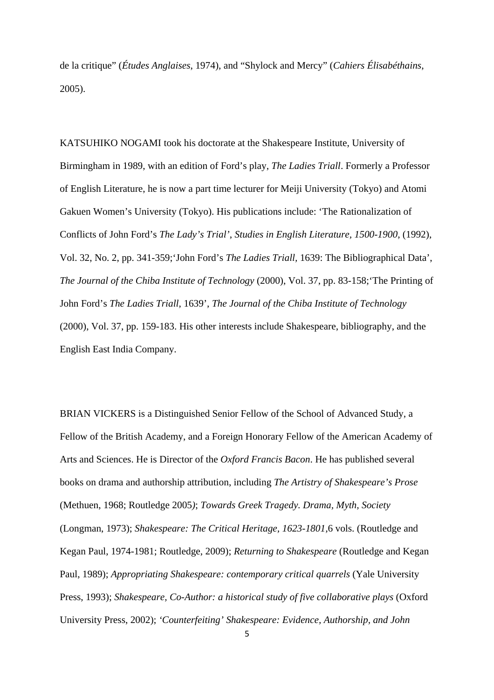de la critique" (*Études Anglaises*, 1974), and "Shylock and Mercy" (*Cahiers Élisabéthains*, 2005).

KATSUHIKO NOGAMI took his doctorate at the Shakespeare Institute, University of Birmingham in 1989, with an edition of Ford's play, *The Ladies Triall*. Formerly a Professor of English Literature, he is now a part time lecturer for Meiji University (Tokyo) and Atomi Gakuen Women's University (Tokyo). His publications include: 'The Rationalization of Conflicts of John Ford's *The Lady's Trial'*, *Studies in English Literature, 1500-1900*, (1992), Vol. 32, No. 2, pp. 341-359;'John Ford's *The Ladies Triall,* 1639: The Bibliographical Data', *The Journal of the Chiba Institute of Technology* (2000), Vol. 37, pp. 83-158;'The Printing of John Ford's *The Ladies Triall*, 1639', *The Journal of the Chiba Institute of Technology* (2000), Vol. 37, pp. 159-183. His other interests include Shakespeare, bibliography, and the English East India Company.

BRIAN VICKERS is a Distinguished Senior Fellow of the School of Advanced Study, a Fellow of the British Academy, and a Foreign Honorary Fellow of the American Academy of Arts and Sciences. He is Director of the *Oxford Francis Bacon*. He has published several books on drama and authorship attribution, including *The Artistry of Shakespeare's Prose* (Methuen, 1968; Routledge 2005*)*; *Towards Greek Tragedy. Drama, Myth, Society*  (Longman, 1973); *Shakespeare: The Critical Heritage, 1623-1801,*6 vols. (Routledge and Kegan Paul, 1974-1981; Routledge, 2009); *Returning to Shakespeare* (Routledge and Kegan Paul, 1989); *Appropriating Shakespeare: contemporary critical quarrels* (Yale University Press, 1993); *Shakespeare, Co-Author: a historical study of five collaborative plays* (Oxford University Press, 2002); *'Counterfeiting' Shakespeare: Evidence, Authorship, and John*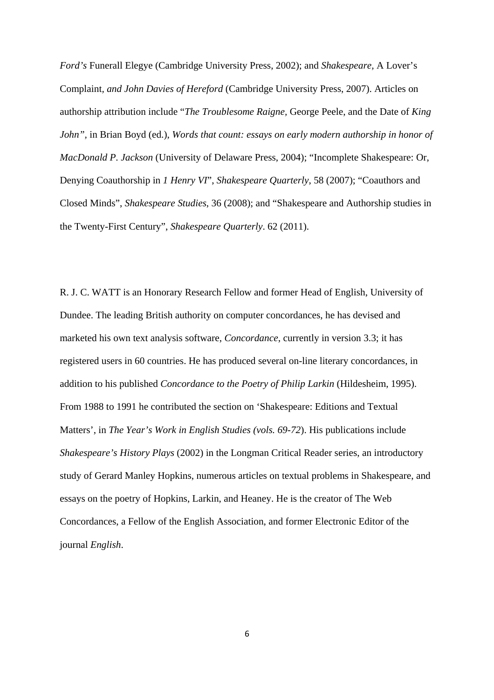*Ford's* Funerall Elegye (Cambridge University Press, 2002); and *Shakespeare,* A Lover's Complaint*, and John Davies of Hereford* (Cambridge University Press, 2007). Articles on authorship attribution include "*The Troublesome Raigne,* George Peele, and the Date of *King John",* in Brian Boyd (ed.), *Words that count: essays on early modern authorship in honor of MacDonald P. Jackson* (University of Delaware Press, 2004); "Incomplete Shakespeare: Or, Denying Coauthorship in *1 Henry VI*", *Shakespeare Quarterly*, 58 (2007); "Coauthors and Closed Minds", *Shakespeare Studies*, 36 (2008); and "Shakespeare and Authorship studies in the Twenty-First Century", *Shakespeare Quarterly*. 62 (2011).

R. J. C. WATT is an Honorary Research Fellow and former Head of English, University of Dundee. The leading British authority on computer concordances, he has devised and marketed his own text analysis software, *Concordance*, currently in version 3.3; it has registered users in 60 countries. He has produced several on-line literary concordances, in addition to his published *Concordance to the Poetry of Philip Larkin* (Hildesheim, 1995). From 1988 to 1991 he contributed the section on 'Shakespeare: Editions and Textual Matters', in *The Year's Work in English Studies (vols. 69-72*). His publications include *Shakespeare's History Plays* (2002) in the Longman Critical Reader series, an introductory study of Gerard Manley Hopkins, numerous articles on textual problems in Shakespeare, and essays on the poetry of Hopkins, Larkin, and Heaney. He is the creator of The Web Concordances, a Fellow of the English Association, and former Electronic Editor of the journal *English*.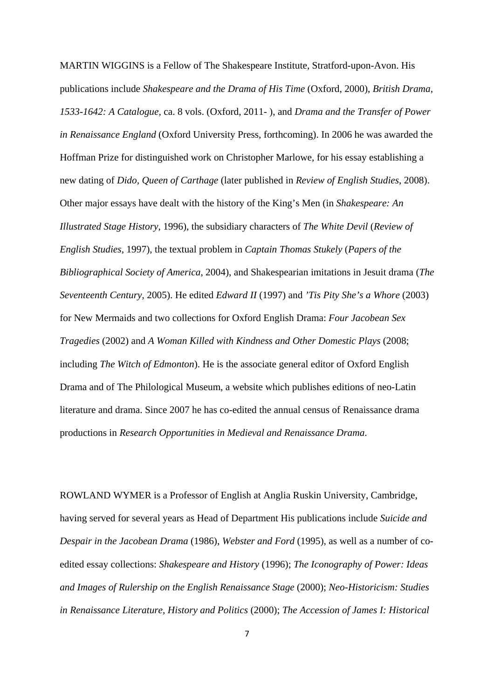MARTIN WIGGINS is a Fellow of The Shakespeare Institute, Stratford-upon-Avon. His publications include *Shakespeare and the Drama of His Time* (Oxford, 2000), *British Drama, 1533-1642: A Catalogue,* ca. 8 vols. (Oxford, 2011- ), and *Drama and the Transfer of Power in Renaissance England* (Oxford University Press, forthcoming). In 2006 he was awarded the Hoffman Prize for distinguished work on Christopher Marlowe, for his essay establishing a new dating of *Dido, Queen of Carthage* (later published in *Review of English Studies*, 2008). Other major essays have dealt with the history of the King's Men (in *Shakespeare: An Illustrated Stage History*, 1996), the subsidiary characters of *The White Devil* (*Review of English Studies*, 1997), the textual problem in *Captain Thomas Stukely* (*Papers of the Bibliographical Society of America*, 2004), and Shakespearian imitations in Jesuit drama (*The Seventeenth Century*, 2005). He edited *Edward II* (1997) and *'Tis Pity She's a Whore* (2003) for New Mermaids and two collections for Oxford English Drama: *Four Jacobean Sex Tragedies* (2002) and *A Woman Killed with Kindness and Other Domestic Plays* (2008; including *The Witch of Edmonton*). He is the associate general editor of Oxford English Drama and of The Philological Museum, a website which publishes editions of neo-Latin literature and drama. Since 2007 he has co-edited the annual census of Renaissance drama productions in *Research Opportunities in Medieval and Renaissance Drama*.

ROWLAND WYMER is a Professor of English at Anglia Ruskin University, Cambridge, having served for several years as Head of Department His publications include *Suicide and Despair in the Jacobean Drama* (1986), *Webster and Ford* (1995), as well as a number of coedited essay collections: *Shakespeare and History* (1996); *The Iconography of Power: Ideas and Images of Rulership on the English Renaissance Stage* (2000); *Neo-Historicism: Studies in Renaissance Literature, History and Politics* (2000); *The Accession of James I: Historical*